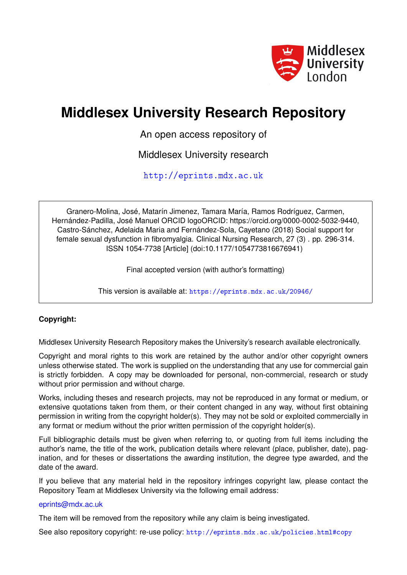

# **Middlesex University Research Repository**

An open access repository of

Middlesex University research

<http://eprints.mdx.ac.uk>

Granero-Molina, José, Matarín Jimenez, Tamara María, Ramos Rodríguez, Carmen, Hernández-Padilla, José Manuel ORCID logoORCID: https://orcid.org/0000-0002-5032-9440, Castro-Sánchez, Adelaida Maria and Fernández-Sola, Cayetano (2018) Social support for female sexual dysfunction in fibromyalgia. Clinical Nursing Research, 27 (3) . pp. 296-314. ISSN 1054-7738 [Article] (doi:10.1177/1054773816676941)

Final accepted version (with author's formatting)

This version is available at: <https://eprints.mdx.ac.uk/20946/>

## **Copyright:**

Middlesex University Research Repository makes the University's research available electronically.

Copyright and moral rights to this work are retained by the author and/or other copyright owners unless otherwise stated. The work is supplied on the understanding that any use for commercial gain is strictly forbidden. A copy may be downloaded for personal, non-commercial, research or study without prior permission and without charge.

Works, including theses and research projects, may not be reproduced in any format or medium, or extensive quotations taken from them, or their content changed in any way, without first obtaining permission in writing from the copyright holder(s). They may not be sold or exploited commercially in any format or medium without the prior written permission of the copyright holder(s).

Full bibliographic details must be given when referring to, or quoting from full items including the author's name, the title of the work, publication details where relevant (place, publisher, date), pagination, and for theses or dissertations the awarding institution, the degree type awarded, and the date of the award.

If you believe that any material held in the repository infringes copyright law, please contact the Repository Team at Middlesex University via the following email address:

## [eprints@mdx.ac.uk](mailto:eprints@mdx.ac.uk)

The item will be removed from the repository while any claim is being investigated.

See also repository copyright: re-use policy: <http://eprints.mdx.ac.uk/policies.html#copy>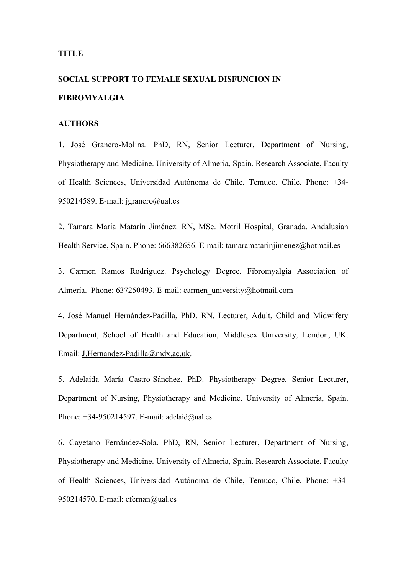#### **TITLE**

## **SOCIAL SUPPORT TO FEMALE SEXUAL DISFUNCION IN FIBROMYALGIA**

## **AUTHORS**

1. José Granero-Molina. PhD, RN, Senior Lecturer, Department of Nursing, Physiotherapy and Medicine. University of Almeria, Spain. Research Associate, Faculty of Health Sciences, Universidad Autónoma de Chile, Temuco, Chile. Phone: +34- 950214589. E-mail: jgranero@ual.es

2. Tamara María Matarín Jiménez. RN, MSc. Motril Hospital, Granada. Andalusian Health Service, Spain. Phone: 666382656. E-mail: tamaramatarinjimenez@hotmail.es

3. Carmen Ramos Rodríguez. Psychology Degree. Fibromyalgia Association of Almería. Phone: 637250493. E-mail: carmen\_university@hotmail.com

4. José Manuel Hernández-Padilla, PhD. RN. Lecturer, Adult, Child and Midwifery Department, School of Health and Education, Middlesex University, London, UK. Email: J.Hernandez-Padilla@mdx.ac.uk.

5. Adelaida María Castro-Sánchez. PhD. Physiotherapy Degree. Senior Lecturer, Department of Nursing, Physiotherapy and Medicine. University of Almeria, Spain. Phone: +34-950214597. E-mail: adelaid@ual.es

6. Cayetano Fernández-Sola. PhD, RN, Senior Lecturer, Department of Nursing, Physiotherapy and Medicine. University of Almeria, Spain. Research Associate, Faculty of Health Sciences, Universidad Autónoma de Chile, Temuco, Chile. Phone: +34- 950214570. E-mail: cfernan@ual.es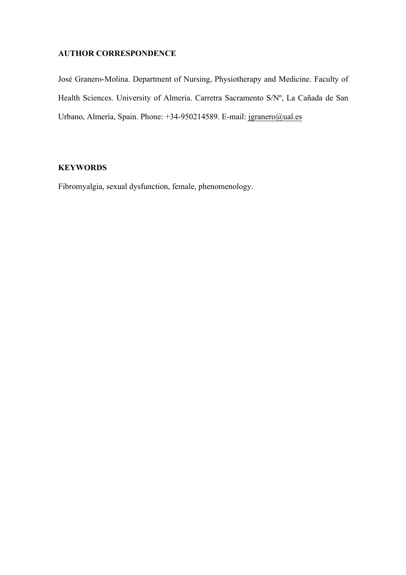## **AUTHOR CORRESPONDENCE**

José Granero-Molina. Department of Nursing, Physiotherapy and Medicine. Faculty of Health Sciences. University of Almeria. Carretra Sacramento S/Nº, La Cañada de San Urbano, Almería, Spain. Phone: +34-950214589. E-mail: jgranero@ual.es

## **KEYWORDS**

Fibromyalgia, sexual dysfunction, female, phenomenology.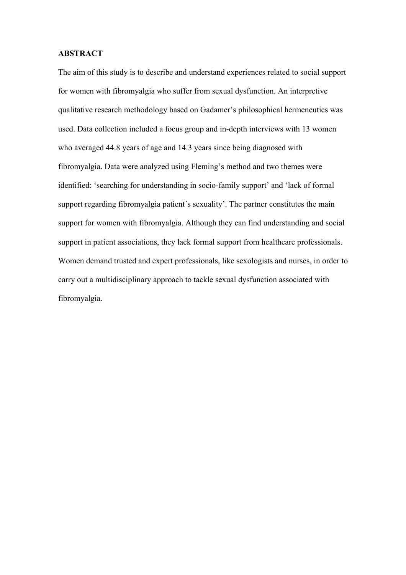### **ABSTRACT**

The aim of this study is to describe and understand experiences related to social support for women with fibromyalgia who suffer from sexual dysfunction. An interpretive qualitative research methodology based on Gadamer's philosophical hermeneutics was used. Data collection included a focus group and in-depth interviews with 13 women who averaged 44.8 years of age and 14.3 years since being diagnosed with fibromyalgia. Data were analyzed using Fleming's method and two themes were identified: 'searching for understanding in socio-family support' and 'lack of formal support regarding fibromyalgia patient´s sexuality'. The partner constitutes the main support for women with fibromyalgia. Although they can find understanding and social support in patient associations, they lack formal support from healthcare professionals. Women demand trusted and expert professionals, like sexologists and nurses, in order to carry out a multidisciplinary approach to tackle sexual dysfunction associated with fibromyalgia.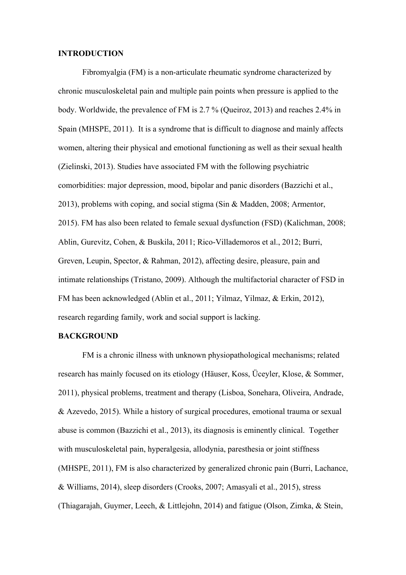#### **INTRODUCTION**

Fibromyalgia (FM) is a non-articulate rheumatic syndrome characterized by chronic musculoskeletal pain and multiple pain points when pressure is applied to the body. Worldwide, the prevalence of FM is 2.7 % (Queiroz, 2013) and reaches 2.4% in Spain (MHSPE, 2011). It is a syndrome that is difficult to diagnose and mainly affects women, altering their physical and emotional functioning as well as their sexual health (Zielinski, 2013). Studies have associated FM with the following psychiatric comorbidities: major depression, mood, bipolar and panic disorders (Bazzichi et al., 2013), problems with coping, and social stigma (Sin & Madden, 2008; Armentor, 2015). FM has also been related to female sexual dysfunction (FSD) (Kalichman, 2008; Ablin, Gurevitz, Cohen, & Buskila, 2011; Rico-Villademoros et al., 2012; Burri, Greven, Leupin, Spector, & Rahman, 2012), affecting desire, pleasure, pain and intimate relationships (Tristano, 2009). Although the multifactorial character of FSD in FM has been acknowledged (Ablin et al., 2011; Yilmaz, Yilmaz, & Erkin, 2012), research regarding family, work and social support is lacking.

## **BACKGROUND**

FM is a chronic illness with unknown physiopathological mechanisms; related research has mainly focused on its etiology (Häuser, Koss, Üceyler, Klose, & Sommer, 2011), physical problems, treatment and therapy (Lisboa, Sonehara, Oliveira, Andrade, & Azevedo, 2015). While a history of surgical procedures, emotional trauma or sexual abuse is common (Bazzichi et al., 2013), its diagnosis is eminently clinical. Together with musculoskeletal pain, hyperalgesia, allodynia, paresthesia or joint stiffness (MHSPE, 2011), FM is also characterized by generalized chronic pain (Burri, Lachance, & Williams, 2014), sleep disorders (Crooks, 2007; Amasyali et al., 2015), stress (Thiagarajah, Guymer, Leech, & Littlejohn, 2014) and fatigue (Olson, Zimka, & Stein,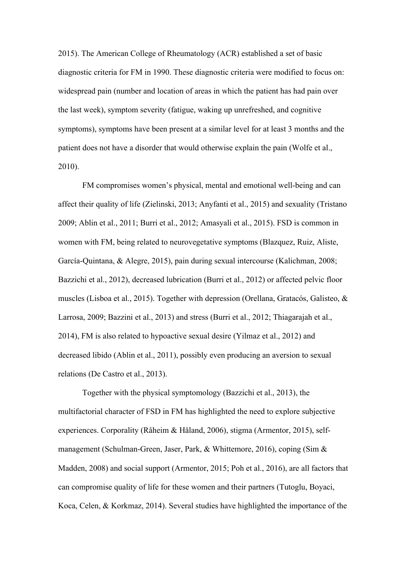2015). The American College of Rheumatology (ACR) established a set of basic diagnostic criteria for FM in 1990. These diagnostic criteria were modified to focus on: widespread pain (number and location of areas in which the patient has had pain over the last week), symptom severity (fatigue, waking up unrefreshed, and cognitive symptoms), symptoms have been present at a similar level for at least 3 months and the patient does not have a disorder that would otherwise explain the pain (Wolfe et al., 2010).

FM compromises women's physical, mental and emotional well-being and can affect their quality of life (Zielinski, 2013; Anyfanti et al., 2015) and sexuality (Tristano 2009; Ablin et al., 2011; Burri et al., 2012; Amasyali et al., 2015). FSD is common in women with FM, being related to neurovegetative symptoms (Blazquez, Ruiz, Aliste, García-Quintana, & Alegre, 2015), pain during sexual intercourse (Kalichman, 2008; Bazzichi et al., 2012), decreased lubrication (Burri et al., 2012) or affected pelvic floor muscles (Lisboa et al., 2015). Together with depression (Orellana, Gratacós, Galisteo, & Larrosa, 2009; Bazzini et al., 2013) and stress (Burri et al., 2012; Thiagarajah et al., 2014), FM is also related to hypoactive sexual desire (Yilmaz et al., 2012) and decreased libido (Ablin et al., 2011), possibly even producing an aversion to sexual relations (De Castro et al., 2013).

Together with the physical symptomology (Bazzichi et al., 2013), the multifactorial character of FSD in FM has highlighted the need to explore subjective experiences. Corporality (Råheim & Håland, 2006), stigma (Armentor, 2015), selfmanagement (Schulman-Green, Jaser, Park, & Whittemore, 2016), coping (Sim & Madden, 2008) and social support (Armentor, 2015; Poh et al., 2016), are all factors that can compromise quality of life for these women and their partners (Tutoglu, Boyaci, Koca, Celen, & Korkmaz, 2014). Several studies have highlighted the importance of the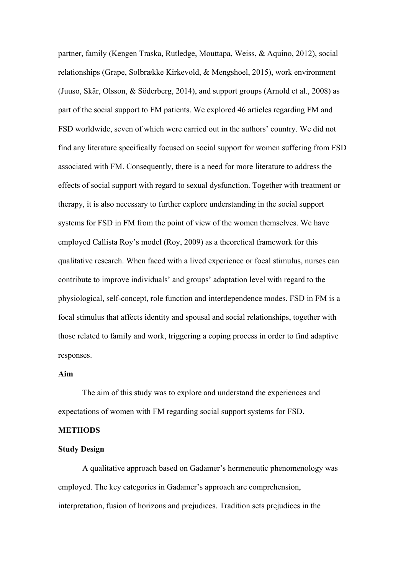partner, family (Kengen Traska, Rutledge, Mouttapa, Weiss, & Aquino, 2012), social relationships (Grape, Solbrække Kirkevold, & Mengshoel, 2015), work environment (Juuso, Skär, Olsson, & Söderberg, 2014), and support groups (Arnold et al., 2008) as part of the social support to FM patients. We explored 46 articles regarding FM and FSD worldwide, seven of which were carried out in the authors' country. We did not find any literature specifically focused on social support for women suffering from FSD associated with FM. Consequently, there is a need for more literature to address the effects of social support with regard to sexual dysfunction. Together with treatment or therapy, it is also necessary to further explore understanding in the social support systems for FSD in FM from the point of view of the women themselves. We have employed Callista Roy's model (Roy, 2009) as a theoretical framework for this qualitative research. When faced with a lived experience or focal stimulus, nurses can contribute to improve individuals' and groups' adaptation level with regard to the physiological, self-concept, role function and interdependence modes. FSD in FM is a focal stimulus that affects identity and spousal and social relationships, together with those related to family and work, triggering a coping process in order to find adaptive responses.

#### **Aim**

The aim of this study was to explore and understand the experiences and expectations of women with FM regarding social support systems for FSD.

#### **METHODS**

#### **Study Design**

A qualitative approach based on Gadamer's hermeneutic phenomenology was employed. The key categories in Gadamer's approach are comprehension, interpretation, fusion of horizons and prejudices. Tradition sets prejudices in the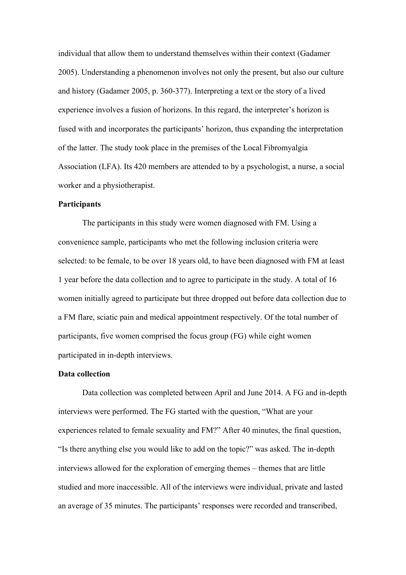individual that allow them to understand themselves within their context (Gadamer 2005). Understanding a phenomenon involves not only the present, but also our culture and history (Gadamer 2005, p. 360-377). Interpreting a text or the story of a lived experience involves a fusion of horizons. In this regard, the interpreter's horizon is fused with and incorporates the participants' horizon, thus expanding the interpretation of the latter. The study took place in the premises of the Local Fibromyalgia Association (LFA). Its 420 members are attended to by a psychologist, a nurse, a social worker and a physiotherapist.

#### **Participants**

The participants in this study were women diagnosed with FM. Using a convenience sample, participants who met the following inclusion criteria were selected: to be female, to be over 18 years old, to have been diagnosed with FM at least 1 year before the data collection and to agree to participate in the study. A total of 16 women initially agreed to participate but three dropped out before data collection due to a FM flare, sciatic pain and medical appointment respectively. Of the total number of participants, five women comprised the focus group (FG) while eight women participated in in-depth interviews.

## **Data collection**

Data collection was completed between April and June 2014. A FG and in-depth interviews were performed. The FG started with the question, "What are your experiences related to female sexuality and FM?" After 40 minutes, the final question, "Is there anything else you would like to add on the topic?" was asked. The in-depth interviews allowed for the exploration of emerging themes – themes that are little studied and more inaccessible. All of the interviews were individual, private and lasted an average of 35 minutes. The participants' responses were recorded and transcribed,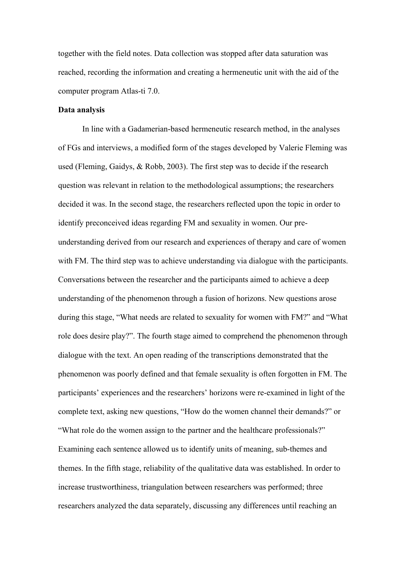together with the field notes. Data collection was stopped after data saturation was reached, recording the information and creating a hermeneutic unit with the aid of the computer program Atlas-ti 7.0.

## **Data analysis**

In line with a Gadamerian-based hermeneutic research method, in the analyses of FGs and interviews, a modified form of the stages developed by Valerie Fleming was used (Fleming, Gaidys, & Robb, 2003). The first step was to decide if the research question was relevant in relation to the methodological assumptions; the researchers decided it was. In the second stage, the researchers reflected upon the topic in order to identify preconceived ideas regarding FM and sexuality in women. Our preunderstanding derived from our research and experiences of therapy and care of women with FM. The third step was to achieve understanding via dialogue with the participants. Conversations between the researcher and the participants aimed to achieve a deep understanding of the phenomenon through a fusion of horizons. New questions arose during this stage, "What needs are related to sexuality for women with FM?" and "What role does desire play?". The fourth stage aimed to comprehend the phenomenon through dialogue with the text. An open reading of the transcriptions demonstrated that the phenomenon was poorly defined and that female sexuality is often forgotten in FM. The participants' experiences and the researchers' horizons were re-examined in light of the complete text, asking new questions, "How do the women channel their demands?" or "What role do the women assign to the partner and the healthcare professionals?" Examining each sentence allowed us to identify units of meaning, sub-themes and themes. In the fifth stage, reliability of the qualitative data was established. In order to increase trustworthiness, triangulation between researchers was performed; three researchers analyzed the data separately, discussing any differences until reaching an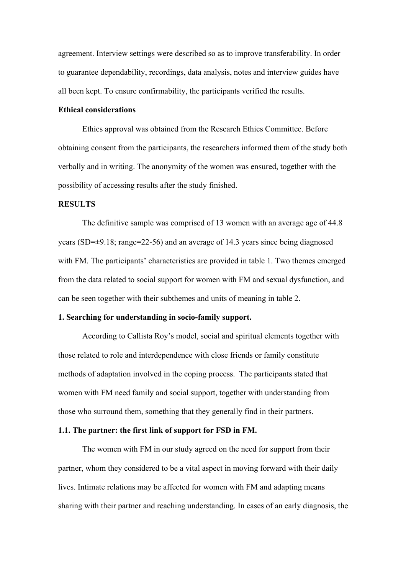agreement. Interview settings were described so as to improve transferability. In order to guarantee dependability, recordings, data analysis, notes and interview guides have all been kept. To ensure confirmability, the participants verified the results.

## **Ethical considerations**

Ethics approval was obtained from the Research Ethics Committee. Before obtaining consent from the participants, the researchers informed them of the study both verbally and in writing. The anonymity of the women was ensured, together with the possibility of accessing results after the study finished.

#### **RESULTS**

The definitive sample was comprised of 13 women with an average age of 44.8 years (SD=±9.18; range=22-56) and an average of 14.3 years since being diagnosed with FM. The participants' characteristics are provided in table 1. Two themes emerged from the data related to social support for women with FM and sexual dysfunction, and can be seen together with their subthemes and units of meaning in table 2.

## **1. Searching for understanding in socio-family support.**

According to Callista Roy's model, social and spiritual elements together with those related to role and interdependence with close friends or family constitute methods of adaptation involved in the coping process. The participants stated that women with FM need family and social support, together with understanding from those who surround them, something that they generally find in their partners.

## **1.1. The partner: the first link of support for FSD in FM.**

The women with FM in our study agreed on the need for support from their partner, whom they considered to be a vital aspect in moving forward with their daily lives. Intimate relations may be affected for women with FM and adapting means sharing with their partner and reaching understanding. In cases of an early diagnosis, the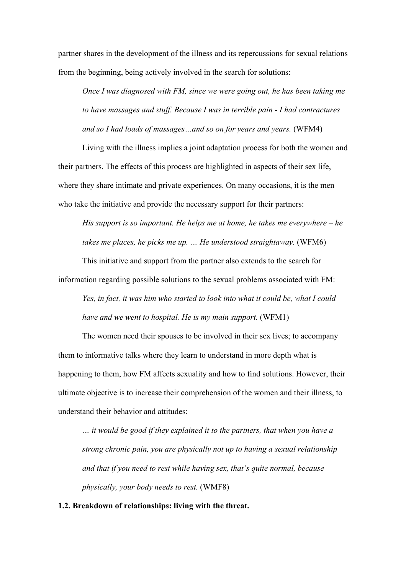partner shares in the development of the illness and its repercussions for sexual relations from the beginning, being actively involved in the search for solutions:

*Once I was diagnosed with FM, since we were going out, he has been taking me to have massages and stuff. Because I was in terrible pain - I had contractures and so I had loads of massages…and so on for years and years.* (WFM4)

Living with the illness implies a joint adaptation process for both the women and their partners. The effects of this process are highlighted in aspects of their sex life, where they share intimate and private experiences. On many occasions, it is the men who take the initiative and provide the necessary support for their partners:

*His support is so important. He helps me at home, he takes me everywhere – he takes me places, he picks me up. ... He understood straightaway.* (WFM6)

This initiative and support from the partner also extends to the search for information regarding possible solutions to the sexual problems associated with FM:

*Yes, in fact, it was him who started to look into what it could be, what I could have and we went to hospital. He is my main support.* (WFM1)

The women need their spouses to be involved in their sex lives; to accompany them to informative talks where they learn to understand in more depth what is happening to them, how FM affects sexuality and how to find solutions. However, their ultimate objective is to increase their comprehension of the women and their illness, to understand their behavior and attitudes:

*… it would be good if they explained it to the partners, that when you have a strong chronic pain, you are physically not up to having a sexual relationship and that if you need to rest while having sex, that's quite normal, because physically, your body needs to rest.* (WMF8)

**1.2. Breakdown of relationships: living with the threat.**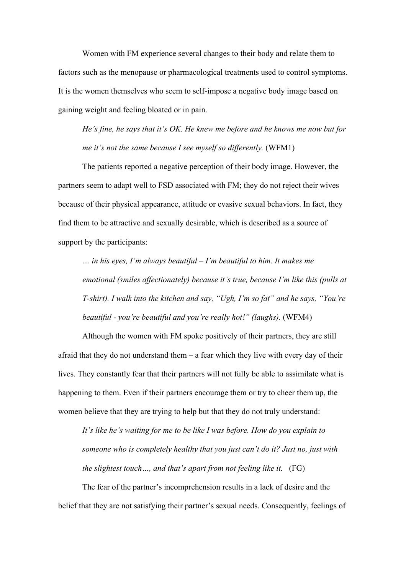Women with FM experience several changes to their body and relate them to factors such as the menopause or pharmacological treatments used to control symptoms. It is the women themselves who seem to self-impose a negative body image based on gaining weight and feeling bloated or in pain.

*He's fine, he says that it's OK. He knew me before and he knows me now but for me it's not the same because I see myself so differently.* (WFM1)

The patients reported a negative perception of their body image. However, the partners seem to adapt well to FSD associated with FM; they do not reject their wives because of their physical appearance, attitude or evasive sexual behaviors. In fact, they find them to be attractive and sexually desirable, which is described as a source of support by the participants:

*… in his eyes, I'm always beautiful – I'm beautiful to him. It makes me emotional (smiles affectionately) because it's true, because I'm like this (pulls at T-shirt). I walk into the kitchen and say, "Ugh, I'm so fat" and he says, "You're beautiful - you're beautiful and you're really hot!" (laughs).* (WFM4)

Although the women with FM spoke positively of their partners, they are still afraid that they do not understand them  $-$  a fear which they live with every day of their lives. They constantly fear that their partners will not fully be able to assimilate what is happening to them. Even if their partners encourage them or try to cheer them up, the women believe that they are trying to help but that they do not truly understand:

*It's like he's waiting for me to be like I was before. How do you explain to someone who is completely healthy that you just can't do it? Just no, just with the slightest touch…, and that's apart from not feeling like it.* (FG)

The fear of the partner's incomprehension results in a lack of desire and the belief that they are not satisfying their partner's sexual needs. Consequently, feelings of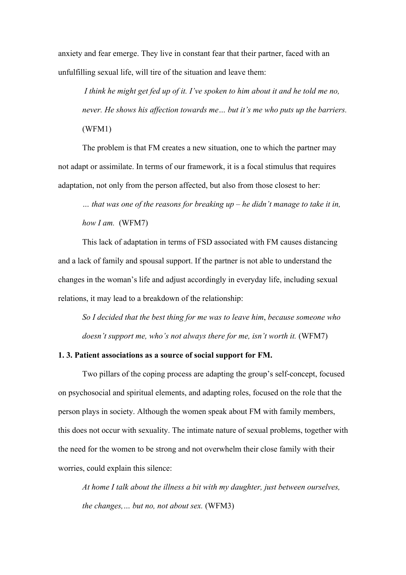anxiety and fear emerge. They live in constant fear that their partner, faced with an unfulfilling sexual life, will tire of the situation and leave them:

*I think he might get fed up of it. I've spoken to him about it and he told me no, never. He shows his affection towards me… but it's me who puts up the barriers.* 

(WFM1)

The problem is that FM creates a new situation, one to which the partner may not adapt or assimilate. In terms of our framework, it is a focal stimulus that requires adaptation, not only from the person affected, but also from those closest to her:

*… that was one of the reasons for breaking up – he didn't manage to take it in, how I am.* (WFM7)

This lack of adaptation in terms of FSD associated with FM causes distancing and a lack of family and spousal support. If the partner is not able to understand the changes in the woman's life and adjust accordingly in everyday life, including sexual relations, it may lead to a breakdown of the relationship:

*So I decided that the best thing for me was to leave him*, *because someone who doesn't support me, who's not always there for me, isn't worth it.* (WFM7)

#### **1. 3. Patient associations as a source of social support for FM.**

Two pillars of the coping process are adapting the group's self-concept, focused on psychosocial and spiritual elements, and adapting roles, focused on the role that the person plays in society. Although the women speak about FM with family members, this does not occur with sexuality. The intimate nature of sexual problems, together with the need for the women to be strong and not overwhelm their close family with their worries, could explain this silence:

*At home I talk about the illness a bit with my daughter, just between ourselves, the changes,… but no, not about sex.* (WFM3)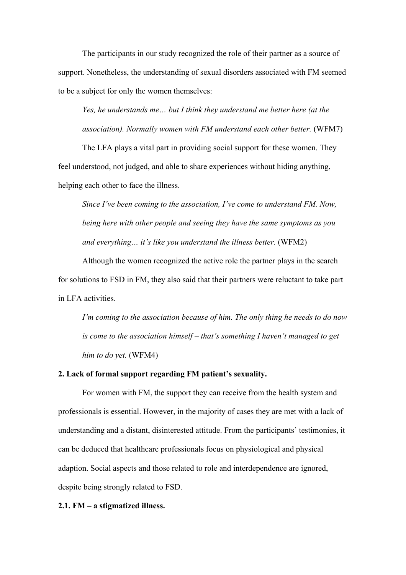The participants in our study recognized the role of their partner as a source of support. Nonetheless, the understanding of sexual disorders associated with FM seemed to be a subject for only the women themselves:

*Yes, he understands me… but I think they understand me better here (at the association*). Normally women with FM understand each other better. (WFM7)

The LFA plays a vital part in providing social support for these women. They feel understood, not judged, and able to share experiences without hiding anything, helping each other to face the illness.

*Since I've been coming to the association, I've come to understand FM. Now, being here with other people and seeing they have the same symptoms as you and everything... it's like you understand the illness better.* (WFM2)

Although the women recognized the active role the partner plays in the search for solutions to FSD in FM, they also said that their partners were reluctant to take part in LFA activities.

*I'm coming to the association because of him. The only thing he needs to do now is come to the association himself – that's something I haven't managed to get him to do yet.* (WFM4)

#### **2. Lack of formal support regarding FM patient's sexuality.**

For women with FM, the support they can receive from the health system and professionals is essential. However, in the majority of cases they are met with a lack of understanding and a distant, disinterested attitude. From the participants' testimonies, it can be deduced that healthcare professionals focus on physiological and physical adaption. Social aspects and those related to role and interdependence are ignored, despite being strongly related to FSD.

## **2.1. FM – a stigmatized illness.**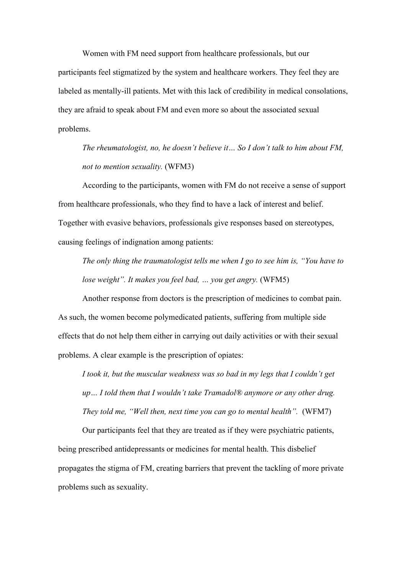Women with FM need support from healthcare professionals, but our participants feel stigmatized by the system and healthcare workers. They feel they are labeled as mentally-ill patients. Met with this lack of credibility in medical consolations, they are afraid to speak about FM and even more so about the associated sexual problems.

*The rheumatologist, no, he doesn't believe it… So I don't talk to him about FM, not to mention sexuality.* (WFM3)

According to the participants, women with FM do not receive a sense of support from healthcare professionals, who they find to have a lack of interest and belief. Together with evasive behaviors, professionals give responses based on stereotypes, causing feelings of indignation among patients:

*The only thing the traumatologist tells me when I go to see him is, "You have to lose weight". It makes you feel bad, ... you get angry.* (WFM5)

Another response from doctors is the prescription of medicines to combat pain. As such, the women become polymedicated patients, suffering from multiple side effects that do not help them either in carrying out daily activities or with their sexual problems. A clear example is the prescription of opiates:

*I took it, but the muscular weakness was so bad in my legs that I couldn't get up… I told them that I wouldn't take Tramadol® anymore or any other drug. They told me, "Well then, next time you can go to mental health".* (WFM7)

Our participants feel that they are treated as if they were psychiatric patients, being prescribed antidepressants or medicines for mental health. This disbelief propagates the stigma of FM, creating barriers that prevent the tackling of more private problems such as sexuality.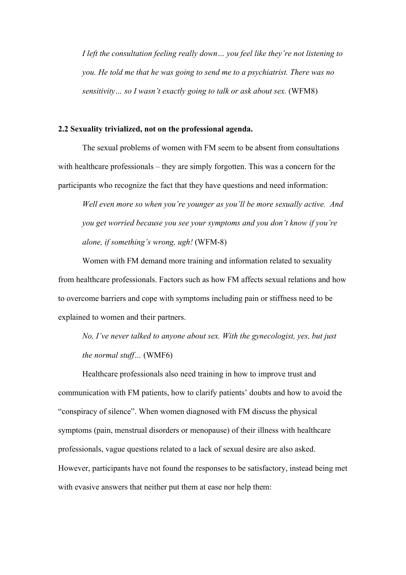*I left the consultation feeling really down… you feel like they're not listening to you. He told me that he was going to send me to a psychiatrist. There was no sensitivity… so I wasn't exactly going to talk or ask about sex.* (WFM8)

#### **2.2 Sexuality trivialized, not on the professional agenda.**

The sexual problems of women with FM seem to be absent from consultations with healthcare professionals – they are simply forgotten. This was a concern for the participants who recognize the fact that they have questions and need information:

*Well even more so when you're younger as you'll be more sexually active. And you get worried because you see your symptoms and you don't know if you're alone, if something's wrong, ugh!* (WFM-8)

Women with FM demand more training and information related to sexuality from healthcare professionals. Factors such as how FM affects sexual relations and how to overcome barriers and cope with symptoms including pain or stiffness need to be explained to women and their partners.

*No, I've never talked to anyone about sex. With the gynecologist, yes, but just the normal stuff…* (WMF6)

Healthcare professionals also need training in how to improve trust and communication with FM patients, how to clarify patients' doubts and how to avoid the "conspiracy of silence". When women diagnosed with FM discuss the physical symptoms (pain, menstrual disorders or menopause) of their illness with healthcare professionals, vague questions related to a lack of sexual desire are also asked. However, participants have not found the responses to be satisfactory, instead being met with evasive answers that neither put them at ease nor help them: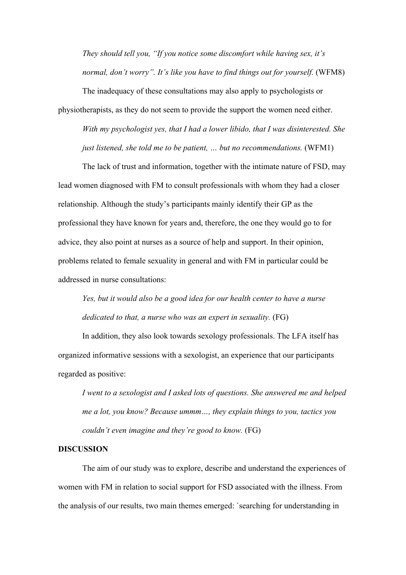*They should tell you, "If you notice some discomfort while having sex, it's normal, don't worry". It's like you have to find things out for yourself.* (WFM8)

The inadequacy of these consultations may also apply to psychologists or physiotherapists, as they do not seem to provide the support the women need either.

*With my psychologist yes, that I had a lower libido, that I was disinterested. She just listened, she told me to be patient, … but no recommendations.* (WFM1)

The lack of trust and information, together with the intimate nature of FSD, may lead women diagnosed with FM to consult professionals with whom they had a closer relationship. Although the study's participants mainly identify their GP as the professional they have known for years and, therefore, the one they would go to for advice, they also point at nurses as a source of help and support. In their opinion, problems related to female sexuality in general and with FM in particular could be addressed in nurse consultations:

*Yes, but it would also be a good idea for our health center to have a nurse dedicated to that, a nurse who was an expert in sexuality.* (FG)

In addition, they also look towards sexology professionals. The LFA itself has organized informative sessions with a sexologist, an experience that our participants regarded as positive:

*I went to a sexologist and I asked lots of questions. She answered me and helped me a lot, you know? Because ummm…, they explain things to you, tactics you couldn't even imagine and they're good to know.* (FG)

## **DISCUSSION**

The aim of our study was to explore, describe and understand the experiences of women with FM in relation to social support for FSD associated with the illness. From the analysis of our results, two main themes emerged: `searching for understanding in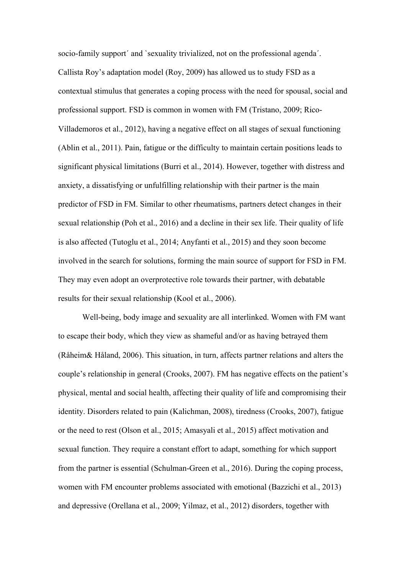socio-family support' and 'sexuality trivialized, not on the professional agenda'. Callista Roy's adaptation model (Roy, 2009) has allowed us to study FSD as a contextual stimulus that generates a coping process with the need for spousal, social and professional support. FSD is common in women with FM (Tristano, 2009; Rico-Villademoros et al., 2012), having a negative effect on all stages of sexual functioning (Ablin et al., 2011). Pain, fatigue or the difficulty to maintain certain positions leads to significant physical limitations (Burri et al., 2014). However, together with distress and anxiety, a dissatisfying or unfulfilling relationship with their partner is the main predictor of FSD in FM. Similar to other rheumatisms, partners detect changes in their sexual relationship (Poh et al., 2016) and a decline in their sex life. Their quality of life is also affected (Tutoglu et al., 2014; Anyfanti et al., 2015) and they soon become involved in the search for solutions, forming the main source of support for FSD in FM. They may even adopt an overprotective role towards their partner, with debatable results for their sexual relationship (Kool et al., 2006).

Well-being, body image and sexuality are all interlinked. Women with FM want to escape their body, which they view as shameful and/or as having betrayed them (Råheim& Håland, 2006). This situation, in turn, affects partner relations and alters the couple's relationship in general (Crooks, 2007). FM has negative effects on the patient's physical, mental and social health, affecting their quality of life and compromising their identity. Disorders related to pain (Kalichman, 2008), tiredness (Crooks, 2007), fatigue or the need to rest (Olson et al., 2015; Amasyali et al., 2015) affect motivation and sexual function. They require a constant effort to adapt, something for which support from the partner is essential (Schulman-Green et al., 2016). During the coping process, women with FM encounter problems associated with emotional (Bazzichi et al., 2013) and depressive (Orellana et al., 2009; Yilmaz, et al., 2012) disorders, together with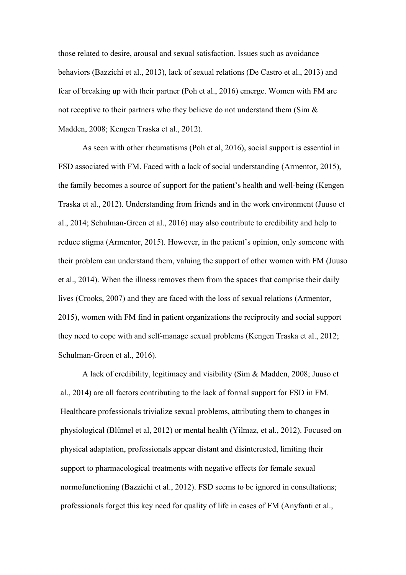those related to desire, arousal and sexual satisfaction. Issues such as avoidance behaviors (Bazzichi et al., 2013), lack of sexual relations (De Castro et al., 2013) and fear of breaking up with their partner (Poh et al., 2016) emerge. Women with FM are not receptive to their partners who they believe do not understand them (Sim & Madden, 2008; Kengen Traska et al., 2012).

As seen with other rheumatisms (Poh et al, 2016), social support is essential in FSD associated with FM. Faced with a lack of social understanding (Armentor, 2015), the family becomes a source of support for the patient's health and well-being (Kengen Traska et al., 2012). Understanding from friends and in the work environment (Juuso et al., 2014; Schulman-Green et al., 2016) may also contribute to credibility and help to reduce stigma (Armentor, 2015). However, in the patient's opinion, only someone with their problem can understand them, valuing the support of other women with FM (Juuso et al., 2014). When the illness removes them from the spaces that comprise their daily lives (Crooks, 2007) and they are faced with the loss of sexual relations (Armentor, 2015), women with FM find in patient organizations the reciprocity and social support they need to cope with and self-manage sexual problems (Kengen Traska et al., 2012; Schulman-Green et al., 2016).

A lack of credibility, legitimacy and visibility (Sim & Madden, 2008; Juuso et al., 2014) are all factors contributing to the lack of formal support for FSD in FM. Healthcare professionals trivialize sexual problems, attributing them to changes in physiological (Blümel et al, 2012) or mental health (Yilmaz, et al., 2012). Focused on physical adaptation, professionals appear distant and disinterested, limiting their support to pharmacological treatments with negative effects for female sexual normofunctioning (Bazzichi et al., 2012). FSD seems to be ignored in consultations; professionals forget this key need for quality of life in cases of FM (Anyfanti et al.,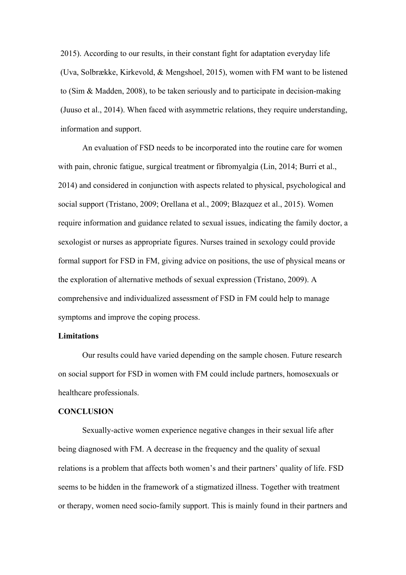2015). According to our results, in their constant fight for adaptation everyday life (Uva, Solbrække, Kirkevold, & Mengshoel, 2015), women with FM want to be listened to (Sim & Madden, 2008), to be taken seriously and to participate in decision-making (Juuso et al., 2014). When faced with asymmetric relations, they require understanding, information and support.

An evaluation of FSD needs to be incorporated into the routine care for women with pain, chronic fatigue, surgical treatment or fibromyalgia (Lin, 2014; Burri et al., 2014) and considered in conjunction with aspects related to physical, psychological and social support (Tristano, 2009; Orellana et al., 2009; Blazquez et al., 2015). Women require information and guidance related to sexual issues, indicating the family doctor, a sexologist or nurses as appropriate figures. Nurses trained in sexology could provide formal support for FSD in FM, giving advice on positions, the use of physical means or the exploration of alternative methods of sexual expression (Tristano, 2009). A comprehensive and individualized assessment of FSD in FM could help to manage symptoms and improve the coping process.

## **Limitations**

Our results could have varied depending on the sample chosen. Future research on social support for FSD in women with FM could include partners, homosexuals or healthcare professionals.

#### **CONCLUSION**

Sexually-active women experience negative changes in their sexual life after being diagnosed with FM. A decrease in the frequency and the quality of sexual relations is a problem that affects both women's and their partners' quality of life. FSD seems to be hidden in the framework of a stigmatized illness. Together with treatment or therapy, women need socio-family support. This is mainly found in their partners and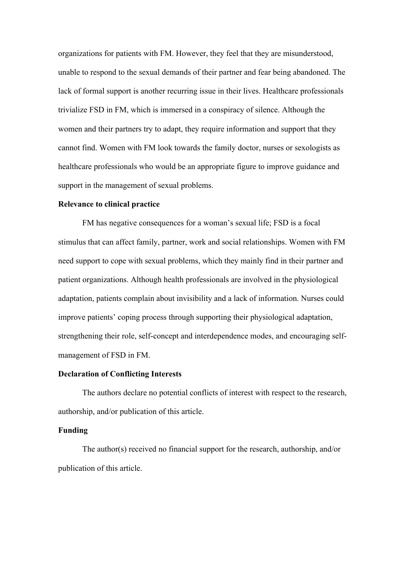organizations for patients with FM. However, they feel that they are misunderstood, unable to respond to the sexual demands of their partner and fear being abandoned. The lack of formal support is another recurring issue in their lives. Healthcare professionals trivialize FSD in FM, which is immersed in a conspiracy of silence. Although the women and their partners try to adapt, they require information and support that they cannot find. Women with FM look towards the family doctor, nurses or sexologists as healthcare professionals who would be an appropriate figure to improve guidance and support in the management of sexual problems.

#### **Relevance to clinical practice**

FM has negative consequences for a woman's sexual life; FSD is a focal stimulus that can affect family, partner, work and social relationships. Women with FM need support to cope with sexual problems, which they mainly find in their partner and patient organizations. Although health professionals are involved in the physiological adaptation, patients complain about invisibility and a lack of information. Nurses could improve patients' coping process through supporting their physiological adaptation, strengthening their role, self-concept and interdependence modes, and encouraging selfmanagement of FSD in FM.

#### **Declaration of Conflicting Interests**

The authors declare no potential conflicts of interest with respect to the research, authorship, and/or publication of this article.

## **Funding**

The author(s) received no financial support for the research, authorship, and/or publication of this article.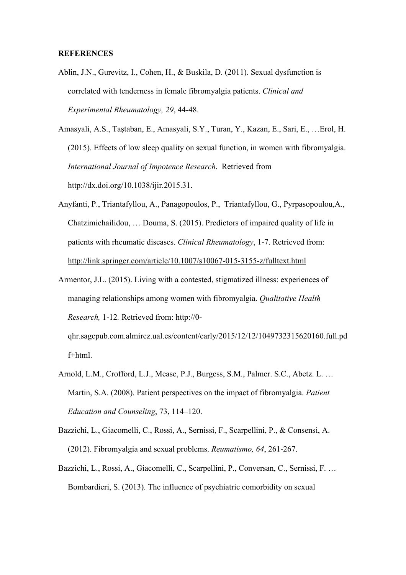#### **REFERENCES**

Ablin, J.N., Gurevitz, I., Cohen, H., & Buskila, D. (2011). Sexual dysfunction is correlated with tenderness in female fibromyalgia patients. *Clinical and Experimental Rheumatology, 29*, 44-48.

Amasyali, A.S., Taştaban, E., Amasyali, S.Y., Turan, Y., Kazan, E., Sari, E., …Erol, H. (2015). Effects of low sleep quality on sexual function, in women with fibromyalgia. *International Journal of Impotence Research*. Retrieved from http://dx.doi.org/10.1038/ijir.2015.31.

- Anyfanti, P., Triantafyllou, A., Panagopoulos, P., Triantafyllou, G., Pyrpasopoulou,A., Chatzimichailidou, … Douma, S. (2015). Predictors of impaired quality of life in patients with rheumatic diseases. *Clinical Rheumatology*, 1-7. Retrieved from: http://link.springer.com/article/10.1007/s10067-015-3155-z/fulltext.html
- Armentor, J.L. (2015). Living with a contested, stigmatized illness: experiences of managing relationships among women with fibromyalgia. *Qualitative Health Research,* 1-12*.* Retrieved from: http://0-

qhr.sagepub.com.almirez.ual.es/content/early/2015/12/12/1049732315620160.full.pd f+html.

- Arnold, L.M., Crofford, L.J., Mease, P.J., Burgess, S.M., Palmer. S.C., Abetz. L. … Martin, S.A. (2008). Patient perspectives on the impact of fibromyalgia. *Patient Education and Counseling*, 73, 114–120.
- Bazzichi, L., Giacomelli, C., Rossi, A., Sernissi, F., Scarpellini, P., & Consensi, A. (2012). Fibromyalgia and sexual problems. *Reumatismo, 64*, 261-267.
- Bazzichi, L., Rossi, A., Giacomelli, C., Scarpellini, P., Conversan, C., Sernissi, F. … Bombardieri, S. (2013). The influence of psychiatric comorbidity on sexual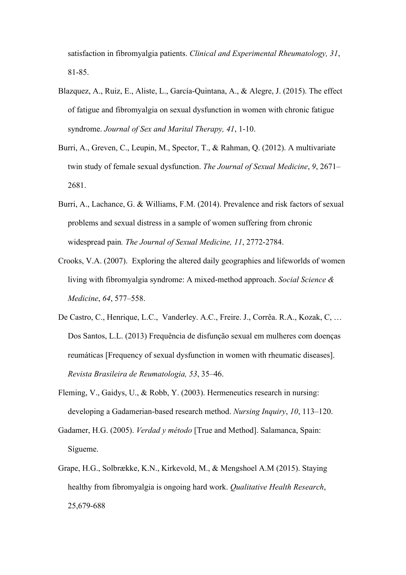satisfaction in fibromyalgia patients. *Clinical and Experimental Rheumatology, 31*, 81-85.

- Blazquez, A., Ruiz, E., Aliste, L., García-Quintana, A., & Alegre, J. (2015). The effect of fatigue and fibromyalgia on sexual dysfunction in women with chronic fatigue syndrome. *Journal of Sex and Marital Therapy, 41*, 1-10.
- Burri, A., Greven, C., Leupin, M., Spector, T., & Rahman, Q. (2012). A multivariate twin study of female sexual dysfunction. *The Journal of Sexual Medicine*, *9*, 2671– 2681.
- Burri, A., Lachance, G. & Williams, F.M. (2014). Prevalence and risk factors of sexual problems and sexual distress in a sample of women suffering from chronic widespread pain*. The Journal of Sexual Medicine, 11*, 2772-2784.
- Crooks, V.A. (2007). Exploring the altered daily geographies and lifeworlds of women living with fibromyalgia syndrome: A mixed-method approach. *Social Science & Medicine*, *64*, 577–558.
- De Castro, C., Henrique, L.C., Vanderley. A.C., Freire. J., Corrêa. R.A., Kozak, C, … Dos Santos, L.L. (2013) Frequência de disfunção sexual em mulheres com doenças reumáticas [Frequency of sexual dysfunction in women with rheumatic diseases]. *Revista Brasileira de Reumatologia, 53*, 35–46.
- Fleming, V., Gaidys, U., & Robb, Y. (2003). Hermeneutics research in nursing: developing a Gadamerian-based research method. *Nursing Inquiry*, *10*, 113–120.
- Gadamer, H.G. (2005). *Verdad y método* [True and Method]. Salamanca, Spain: Sígueme.
- Grape, H.G., Solbrække, K.N., Kirkevold, M., & Mengshoel A.M (2015). Staying healthy from fibromyalgia is ongoing hard work. *Qualitative Health Research*, 25,679-688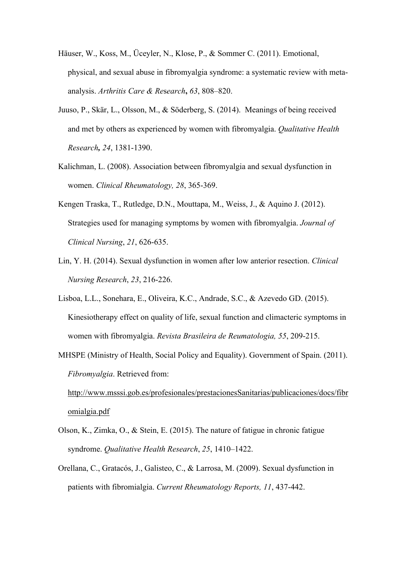- Häuser, W., Koss, M., Üceyler, N., Klose, P., & Sommer C. (2011). Emotional, physical, and sexual abuse in fibromyalgia syndrome: a systematic review with metaanalysis. *Arthritis Care & Re*s*earch***,** *63*, 808–820.
- Juuso, P., Skär, L., Olsson, M., & Söderberg, S. (2014). Meanings of being received and met by others as experienced by women with fibromyalgia. *Qualitative Health Research, 24*, 1381-1390.
- Kalichman, L. (2008). Association between fibromyalgia and sexual dysfunction in women. *Clinical Rheumatology, 28*, 365-369.
- Kengen Traska, T., Rutledge, D.N., Mouttapa, M., Weiss, J., & Aquino J. (2012). Strategies used for managing symptoms by women with fibromyalgia. *Journal of Clinical Nursing*, *21*, 626-635.
- Lin, Y. H. (2014). Sexual dysfunction in women after low anterior resection. *Clinical Nursing Research*, *23*, 216-226.
- Lisboa, L.L., Sonehara, E., Oliveira, K.C., Andrade, S.C., & Azevedo GD. (2015). Kinesiotherapy effect on quality of life, sexual function and climacteric symptoms in women with fibromyalgia. *Revista Brasileira de Reumatologia, 55*, 209-215.
- MHSPE (Ministry of Health, Social Policy and Equality). Government of Spain. (2011). *Fibromyalgia*. Retrieved from:

http://www.msssi.gob.es/profesionales/prestacionesSanitarias/publicaciones/docs/fibr omialgia.pdf

- Olson, K., Zimka, O., & Stein, E. (2015). The nature of fatigue in chronic fatigue syndrome. *Qualitative Health Research*, *25*, 1410–1422.
- Orellana, C., Gratacós, J., Galisteo, C., & Larrosa, M. (2009). Sexual dysfunction in patients with fibromialgia. *Current Rheumatology Reports, 11*, 437-442.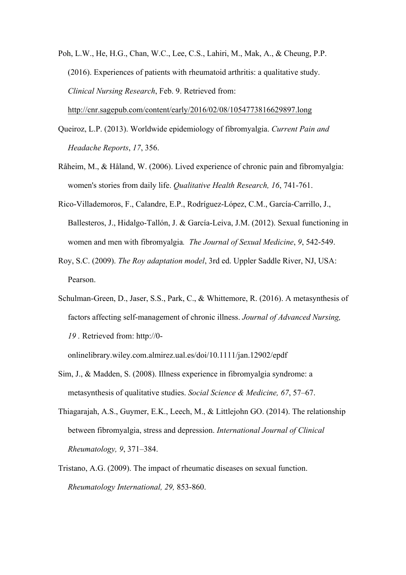Poh, L.W., He, H.G., Chan, W.C., Lee, C.S., Lahiri, M., Mak, A., & Cheung, P.P. (2016). Experiences of patients with rheumatoid arthritis: a qualitative study. *Clinical Nursing Research*, Feb. 9. Retrieved from:

http://cnr.sagepub.com/content/early/2016/02/08/1054773816629897.long

- Queiroz, L.P. (2013). Worldwide epidemiology of fibromyalgia. *Current Pain and Headache Reports*, *17*, 356.
- Råheim, M., & Håland, W. (2006). Lived experience of chronic pain and fibromyalgia: women's stories from daily life. *Qualitative Health Research, 16*, 741-761.
- Rico-Villademoros, F., Calandre, E.P., Rodríguez-López, C.M., García-Carrillo, J., Ballesteros, J., Hidalgo-Tallón, J. & García-Leiva, J.M. (2012). Sexual functioning in women and men with fibromyalgia*. The Journal of Sexual Medicine*, *9*, 542-549.
- Roy, S.C. (2009). *The Roy adaptation model*, 3rd ed. Uppler Saddle River, NJ, USA: Pearson.
- Schulman-Green, D., Jaser, S.S., Park, C., & Whittemore, R. (2016). A metasynthesis of factors affecting self-management of chronic illness. *Journal of Advanced Nursing, 19 .* Retrieved from: http://0-

onlinelibrary.wiley.com.almirez.ual.es/doi/10.1111/jan.12902/epdf

- Sim, J., & Madden, S. (2008). Illness experience in fibromyalgia syndrome: a metasynthesis of qualitative studies. *Social Science & Medicine, 67*, 57–67.
- Thiagarajah, A.S., Guymer, E.K., Leech, M., & Littlejohn GO. (2014). The relationship between fibromyalgia, stress and depression. *International Journal of Clinical Rheumatology, 9*, 371–384.
- Tristano, A.G. (2009). The impact of rheumatic diseases on sexual function. *Rheumatology International, 29,* 853-860.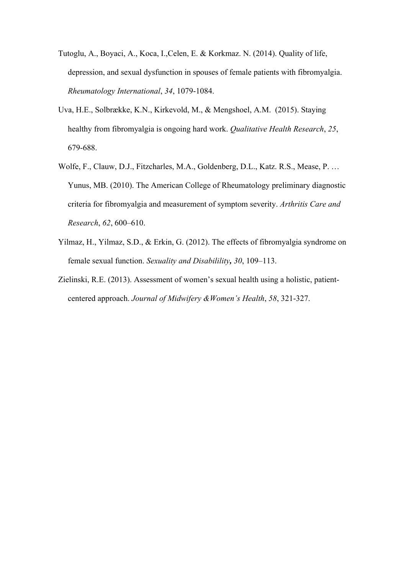- Tutoglu, A., Boyaci, A., Koca, I.,Celen, E. & Korkmaz. N. (2014). Quality of life, depression, and sexual dysfunction in spouses of female patients with fibromyalgia. *Rheumatology International*, *34*, 1079-1084.
- Uva, H.E., Solbrække, K.N., Kirkevold, M., & Mengshoel, A.M. (2015). Staying healthy from fibromyalgia is ongoing hard work. *Qualitative Health Research*, *25*, 679-688.
- Wolfe, F., Clauw, D.J., Fitzcharles, M.A., Goldenberg, D.L., Katz. R.S., Mease, P. … Yunus, MB. (2010). The American College of Rheumatology preliminary diagnostic criteria for fibromyalgia and measurement of symptom severity. *Arthritis Care and Research*, *62*, 600–610.
- Yilmaz, H., Yilmaz, S.D., & Erkin, G. (2012). The effects of fibromyalgia syndrome on female sexual function. *Sexuality and Disabilility, 30*, 109–113.
- Zielinski, R.E. (2013). Assessment of women's sexual health using a holistic, patientcentered approach. *Journal of Midwifery &Women's Health*, *58*, 321-327.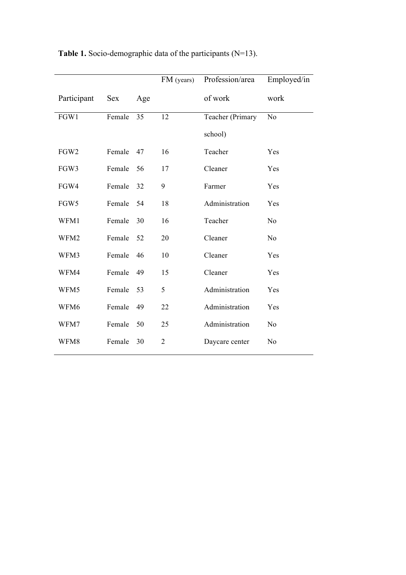|                  |            |     | FM (years)   | Profession/area  | Employed/in    |
|------------------|------------|-----|--------------|------------------|----------------|
| Participant      | <b>Sex</b> | Age |              | of work          | work           |
| FGW1             | Female     | 35  | 12           | Teacher (Primary | N <sub>0</sub> |
|                  |            |     |              | school)          |                |
| FGW <sub>2</sub> | Female     | 47  | 16           | Teacher          | Yes            |
| FGW3             | Female     | 56  | 17           | Cleaner          | Yes            |
| FGW4             | Female     | 32  | 9            | Farmer           | Yes            |
| FGW5             | Female     | 54  | 18           | Administration   | Yes            |
| WFM1             | Female     | 30  | 16           | Teacher          | N <sub>0</sub> |
| WFM2             | Female     | 52  | 20           | Cleaner          | N <sub>0</sub> |
| WFM3             | Female     | 46  | 10           | Cleaner          | Yes            |
| WFM4             | Female     | 49  | 15           | Cleaner          | Yes            |
| WFM5             | Female     | 53  | 5            | Administration   | Yes            |
| WFM6             | Female     | 49  | 22           | Administration   | Yes            |
| WFM7             | Female     | 50  | 25           | Administration   | N <sub>o</sub> |
| WFM8             | Female     | 30  | $\mathbf{2}$ | Daycare center   | No             |

**Table 1.** Socio-demographic data of the participants (N=13).